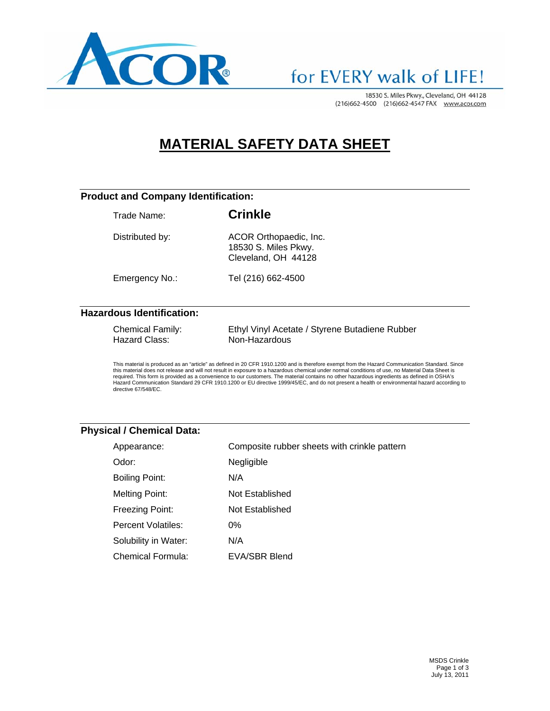

# for EVERY walk of LIFE!

18530 S. Miles Pkwy., Cleveland, OH 44128 (216)662-4500 (216)662-4547 FAX www.acor.com

# **MATERIAL SAFETY DATA SHEET**

### **Product and Company Identification:**

| Trade Name:     | <b>Crinkle</b>                                                        |
|-----------------|-----------------------------------------------------------------------|
| Distributed by: | ACOR Orthopaedic, Inc.<br>18530 S. Miles Pkwy.<br>Cleveland, OH 44128 |
| Emergency No.:  | Tel (216) 662-4500                                                    |

**Hazardous Identification:** 

| <b>Chemical Family:</b> | Ethyl Vinyl Acetate / Styrene Butadiene Rubber |
|-------------------------|------------------------------------------------|
| Hazard Class:           | Non-Hazardous                                  |

This material is produced as an "article" as defined in 20 CFR 1910.1200 and is therefore exempt from the Hazard Communication Standard. Since<br>this material does not release and will not result in exposure to a hazardous c Hazard Communication Standard 29 CFR 1910.1200 or EU directive 1999/45/EC, and do not present a health or environmental hazard according to directive 67/548/EC.

### **Physical / Chemical Data:**

| Appearance:           | Composite rubber sheets with crinkle pattern |
|-----------------------|----------------------------------------------|
| Odor:                 | Negligible                                   |
| <b>Boiling Point:</b> | N/A                                          |
| <b>Melting Point:</b> | Not Established                              |
| Freezing Point:       | Not Established                              |
| Percent Volatiles:    | $0\%$                                        |
| Solubility in Water:  | N/A                                          |
| Chemical Formula:     | EVA/SBR Blend                                |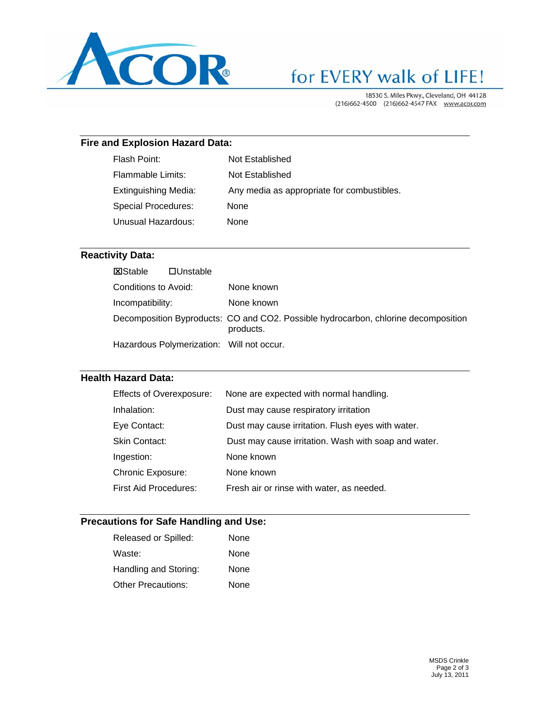

# for EVERY walk of LIFE!

18530 S. Miles Pkwy., Cleveland, OH 44128 (216)662-4500 (216)662-4547 FAX www.acor.com

## **Fire and Explosion Hazard Data:**

| Flash Point:                | Not Established                            |
|-----------------------------|--------------------------------------------|
| Flammable Limits:           | Not Established                            |
| <b>Extinguishing Media:</b> | Any media as appropriate for combustibles. |
| Special Procedures:         | <b>None</b>                                |
| Unusual Hazardous:          | None                                       |
|                             |                                            |

## **Reactivity Data:**

| <b>X</b> Stable      | $\Box$ Unstable |                                                                                                 |
|----------------------|-----------------|-------------------------------------------------------------------------------------------------|
| Conditions to Avoid: |                 | None known                                                                                      |
| Incompatibility:     |                 | None known                                                                                      |
|                      |                 | Decomposition Byproducts: CO and CO2. Possible hydrocarbon, chlorine decomposition<br>products. |
|                      |                 | Hazardous Polymerization: Will not occur.                                                       |

#### **Health Hazard Data:**

| <b>Effects of Overexposure:</b> | None are expected with normal handling.              |
|---------------------------------|------------------------------------------------------|
| Inhalation:                     | Dust may cause respiratory irritation                |
| Eye Contact:                    | Dust may cause irritation. Flush eyes with water.    |
| Skin Contact:                   | Dust may cause irritation. Wash with soap and water. |
| Ingestion:                      | None known                                           |
| <b>Chronic Exposure:</b>        | None known                                           |
| <b>First Aid Procedures:</b>    | Fresh air or rinse with water, as needed.            |

### **Precautions for Safe Handling and Use:**

| Released or Spilled:      | None |
|---------------------------|------|
| Waste:                    | None |
| Handling and Storing:     | None |
| <b>Other Precautions:</b> | None |